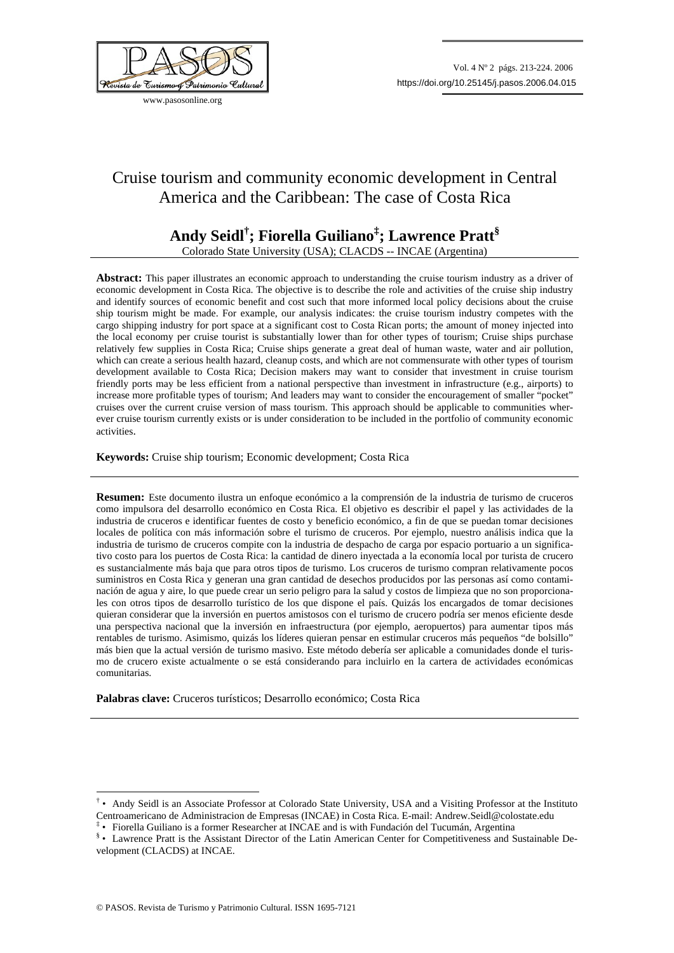

www.pasosonline.org

# Cruise tourism and community economic development in Central America and the Caribbean: The case of Costa Rica

## **Andy Seidl† ; Fiorella Guiliano‡ ; Lawrence Pratt§** Colorado State University (USA); CLACDS -- INCAE (Argentina)

Abstract: This paper illustrates an economic approach to understanding the cruise tourism industry as a driver of economic development in Costa Rica. The objective is to describe the role and activities of the cruise ship industry and identify sources of economic benefit and cost such that more informed local policy decisions about the cruise ship tourism might be made. For example, our analysis indicates: the cruise tourism industry competes with the cargo shipping industry for port space at a significant cost to Costa Rican ports; the amount of money injected into the local economy per cruise tourist is substantially lower than for other types of tourism; Cruise ships purchase relatively few supplies in Costa Rica; Cruise ships generate a great deal of human waste, water and air pollution, which can create a serious health hazard, cleanup costs, and which are not commensurate with other types of tourism development available to Costa Rica; Decision makers may want to consider that investment in cruise tourism friendly ports may be less efficient from a national perspective than investment in infrastructure (e.g., airports) to increase more profitable types of tourism; And leaders may want to consider the encouragement of smaller "pocket" cruises over the current cruise version of mass tourism. This approach should be applicable to communities wherever cruise tourism currently exists or is under consideration to be included in the portfolio of community economic activities.

## **Keywords:** Cruise ship tourism; Economic development; Costa Rica

**Resumen:** Este documento ilustra un enfoque económico a la comprensión de la industria de turismo de cruceros como impulsora del desarrollo económico en Costa Rica. El objetivo es describir el papel y las actividades de la industria de cruceros e identificar fuentes de costo y beneficio económico, a fin de que se puedan tomar decisiones locales de política con más información sobre el turismo de cruceros. Por ejemplo, nuestro análisis indica que la industria de turismo de cruceros compite con la industria de despacho de carga por espacio portuario a un significativo costo para los puertos de Costa Rica: la cantidad de dinero inyectada a la economía local por turista de crucero es sustancialmente más baja que para otros tipos de turismo. Los cruceros de turismo compran relativamente pocos suministros en Costa Rica y generan una gran cantidad de desechos producidos por las personas así como contaminación de agua y aire, lo que puede crear un serio peligro para la salud y costos de limpieza que no son proporcionales con otros tipos de desarrollo turístico de los que dispone el país. Quizás los encargados de tomar decisiones quieran considerar que la inversión en puertos amistosos con el turismo de crucero podría ser menos eficiente desde una perspectiva nacional que la inversión en infraestructura (por ejemplo, aeropuertos) para aumentar tipos más rentables de turismo. Asimismo, quizás los líderes quieran pensar en estimular cruceros más pequeños "de bolsillo" más bien que la actual versión de turismo masivo. Este método debería ser aplicable a comunidades donde el turismo de crucero existe actualmente o se está considerando para incluirlo en la cartera de actividades económicas comunitarias.

**Palabras clave:** Cruceros turísticos; Desarrollo económico; Costa Rica

1

<sup>†</sup> • Andy Seidl is an Associate Professor at Colorado State University, USA and a Visiting Professor at the Instituto Centroamericano de Administracion de Empresas (INCAE) in Costa Rica. E-mail: Andrew.Seidl@colostate.edu

<sup>‡</sup> • Fiorella Guiliano is a former Researcher at INCAE and is with Fundación del Tucumán, Argentina

<sup>§</sup> • Lawrence Pratt is the Assistant Director of the Latin American Center for Competitiveness and Sustainable Development (CLACDS) at INCAE.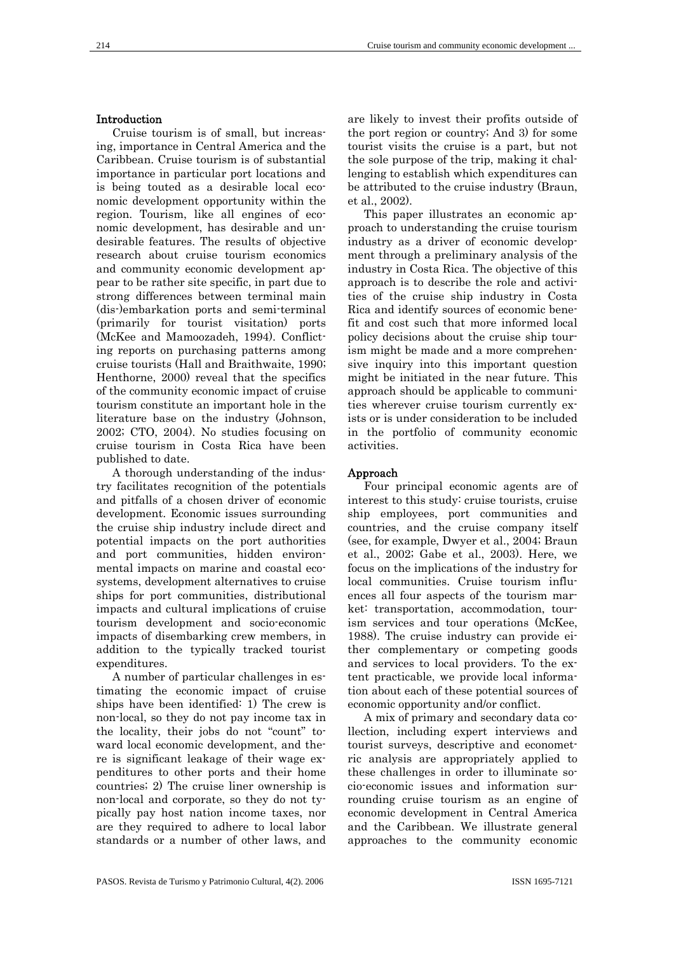### Introduction

Cruise tourism is of small, but increasing, importance in Central America and the Caribbean. Cruise tourism is of substantial importance in particular port locations and is being touted as a desirable local economic development opportunity within the region. Tourism, like all engines of economic development, has desirable and undesirable features. The results of objective research about cruise tourism economics and community economic development appear to be rather site specific, in part due to strong differences between terminal main (dis-)embarkation ports and semi-terminal (primarily for tourist visitation) ports (McKee and Mamoozadeh, 1994). Conflicting reports on purchasing patterns among cruise tourists (Hall and Braithwaite, 1990; Henthorne, 2000) reveal that the specifics of the community economic impact of cruise tourism constitute an important hole in the literature base on the industry (Johnson, 2002; CTO, 2004). No studies focusing on cruise tourism in Costa Rica have been published to date.

A thorough understanding of the industry facilitates recognition of the potentials and pitfalls of a chosen driver of economic development. Economic issues surrounding the cruise ship industry include direct and potential impacts on the port authorities and port communities, hidden environmental impacts on marine and coastal ecosystems, development alternatives to cruise ships for port communities, distributional impacts and cultural implications of cruise tourism development and socio-economic impacts of disembarking crew members, in addition to the typically tracked tourist expenditures.

A number of particular challenges in estimating the economic impact of cruise ships have been identified: 1) The crew is non-local, so they do not pay income tax in the locality, their jobs do not "count" toward local economic development, and there is significant leakage of their wage expenditures to other ports and their home countries; 2) The cruise liner ownership is non-local and corporate, so they do not typically pay host nation income taxes, nor are they required to adhere to local labor standards or a number of other laws, and

are likely to invest their profits outside of the port region or country; And 3) for some tourist visits the cruise is a part, but not the sole purpose of the trip, making it challenging to establish which expenditures can be attributed to the cruise industry (Braun, et al., 2002).

This paper illustrates an economic approach to understanding the cruise tourism industry as a driver of economic development through a preliminary analysis of the industry in Costa Rica. The objective of this approach is to describe the role and activities of the cruise ship industry in Costa Rica and identify sources of economic benefit and cost such that more informed local policy decisions about the cruise ship tourism might be made and a more comprehensive inquiry into this important question might be initiated in the near future. This approach should be applicable to communities wherever cruise tourism currently exists or is under consideration to be included in the portfolio of community economic activities.

#### Approach

Four principal economic agents are of interest to this study: cruise tourists, cruise ship employees, port communities and countries, and the cruise company itself (see, for example, Dwyer et al., 2004; Braun et al., 2002; Gabe et al., 2003). Here, we focus on the implications of the industry for local communities. Cruise tourism influences all four aspects of the tourism market: transportation, accommodation, tourism services and tour operations (McKee, 1988). The cruise industry can provide either complementary or competing goods and services to local providers. To the extent practicable, we provide local information about each of these potential sources of economic opportunity and/or conflict.

A mix of primary and secondary data collection, including expert interviews and tourist surveys, descriptive and econometric analysis are appropriately applied to these challenges in order to illuminate socio-economic issues and information surrounding cruise tourism as an engine of economic development in Central America and the Caribbean. We illustrate general approaches to the community economic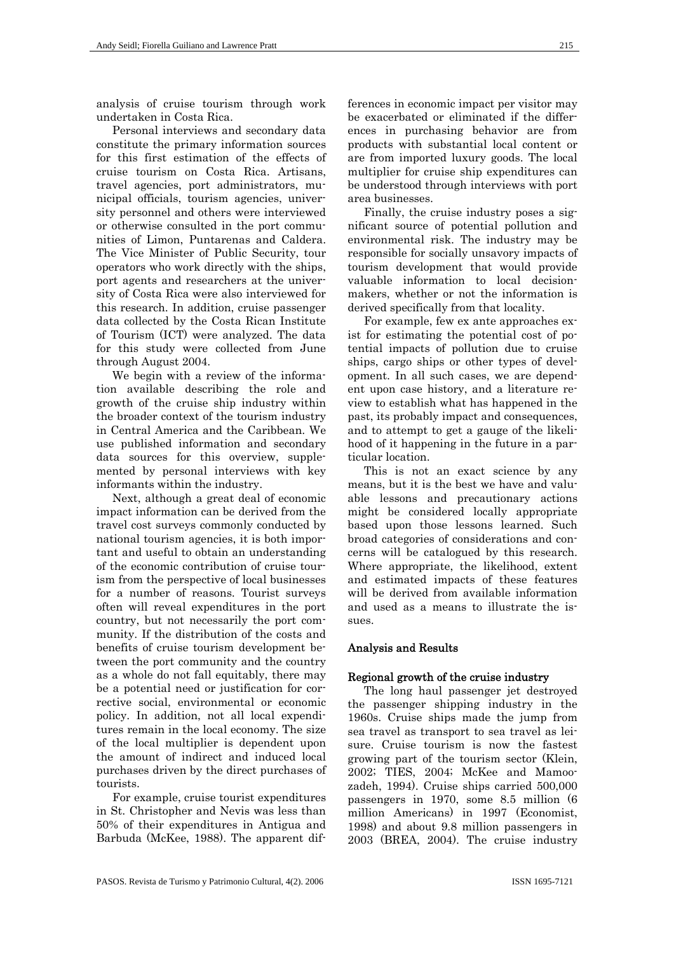analysis of cruise tourism through work undertaken in Costa Rica.

Personal interviews and secondary data constitute the primary information sources for this first estimation of the effects of cruise tourism on Costa Rica. Artisans, travel agencies, port administrators, municipal officials, tourism agencies, university personnel and others were interviewed or otherwise consulted in the port communities of Limon, Puntarenas and Caldera. The Vice Minister of Public Security, tour operators who work directly with the ships, port agents and researchers at the university of Costa Rica were also interviewed for this research. In addition, cruise passenger data collected by the Costa Rican Institute of Tourism (ICT) were analyzed. The data for this study were collected from June through August 2004.

We begin with a review of the information available describing the role and growth of the cruise ship industry within the broader context of the tourism industry in Central America and the Caribbean. We use published information and secondary data sources for this overview, supplemented by personal interviews with key informants within the industry.

Next, although a great deal of economic impact information can be derived from the travel cost surveys commonly conducted by national tourism agencies, it is both important and useful to obtain an understanding of the economic contribution of cruise tourism from the perspective of local businesses for a number of reasons. Tourist surveys often will reveal expenditures in the port country, but not necessarily the port community. If the distribution of the costs and benefits of cruise tourism development between the port community and the country as a whole do not fall equitably, there may be a potential need or justification for corrective social, environmental or economic policy. In addition, not all local expenditures remain in the local economy. The size of the local multiplier is dependent upon the amount of indirect and induced local purchases driven by the direct purchases of tourists.

For example, cruise tourist expenditures in St. Christopher and Nevis was less than 50% of their expenditures in Antigua and Barbuda (McKee, 1988). The apparent differences in economic impact per visitor may be exacerbated or eliminated if the differences in purchasing behavior are from products with substantial local content or are from imported luxury goods. The local multiplier for cruise ship expenditures can be understood through interviews with port area businesses.

Finally, the cruise industry poses a significant source of potential pollution and environmental risk. The industry may be responsible for socially unsavory impacts of tourism development that would provide valuable information to local decisionmakers, whether or not the information is derived specifically from that locality.

For example, few ex ante approaches exist for estimating the potential cost of potential impacts of pollution due to cruise ships, cargo ships or other types of development. In all such cases, we are dependent upon case history, and a literature review to establish what has happened in the past, its probably impact and consequences, and to attempt to get a gauge of the likelihood of it happening in the future in a particular location.

This is not an exact science by any means, but it is the best we have and valuable lessons and precautionary actions might be considered locally appropriate based upon those lessons learned. Such broad categories of considerations and concerns will be catalogued by this research. Where appropriate, the likelihood, extent and estimated impacts of these features will be derived from available information and used as a means to illustrate the issues.

## Analysis and Results

#### Regional growth of the cruise industry

The long haul passenger jet destroyed the passenger shipping industry in the 1960s. Cruise ships made the jump from sea travel as transport to sea travel as leisure. Cruise tourism is now the fastest growing part of the tourism sector (Klein, 2002; TIES, 2004; McKee and Mamoozadeh, 1994). Cruise ships carried 500,000 passengers in 1970, some 8.5 million (6 million Americans) in 1997 (Economist, 1998) and about 9.8 million passengers in 2003 (BREA, 2004). The cruise industry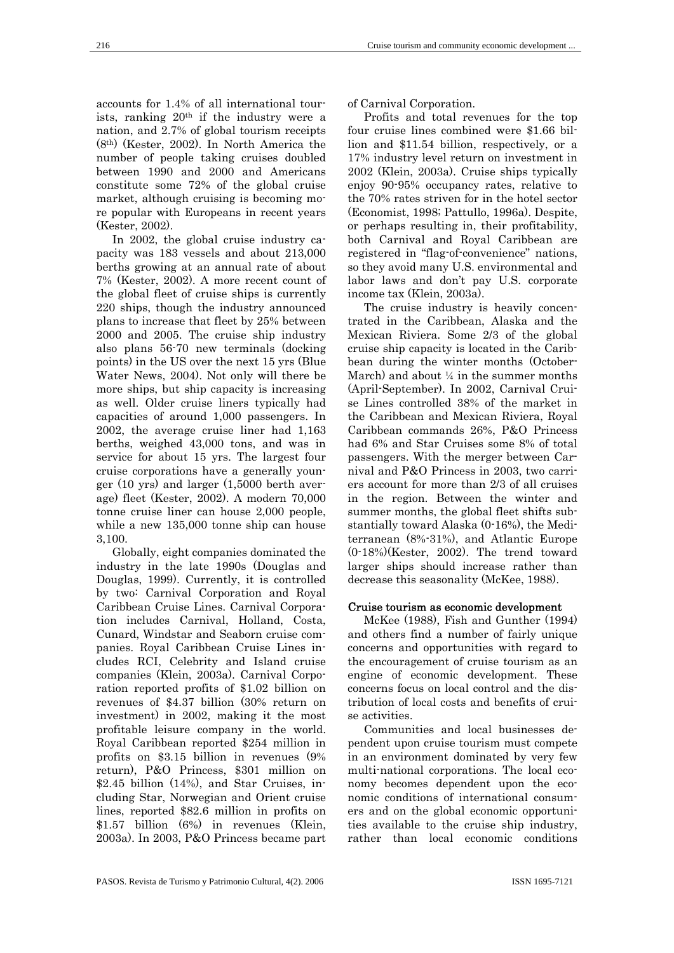accounts for 1.4% of all international tourists, ranking  $20<sup>th</sup>$  if the industry were a nation, and 2.7% of global tourism receipts (8th) (Kester, 2002). In North America the number of people taking cruises doubled between 1990 and 2000 and Americans constitute some 72% of the global cruise market, although cruising is becoming more popular with Europeans in recent years (Kester, 2002).

In 2002, the global cruise industry capacity was 183 vessels and about 213,000 berths growing at an annual rate of about 7% (Kester, 2002). A more recent count of the global fleet of cruise ships is currently 220 ships, though the industry announced plans to increase that fleet by 25% between 2000 and 2005. The cruise ship industry also plans 56-70 new terminals (docking points) in the US over the next 15 yrs (Blue Water News, 2004). Not only will there be more ships, but ship capacity is increasing as well. Older cruise liners typically had capacities of around 1,000 passengers. In 2002, the average cruise liner had 1,163 berths, weighed 43,000 tons, and was in service for about 15 yrs. The largest four cruise corporations have a generally younger (10 yrs) and larger (1,5000 berth average) fleet (Kester, 2002). A modern 70,000 tonne cruise liner can house 2,000 people, while a new 135,000 tonne ship can house 3,100.

Globally, eight companies dominated the industry in the late 1990s (Douglas and Douglas, 1999). Currently, it is controlled by two: Carnival Corporation and Royal Caribbean Cruise Lines. Carnival Corporation includes Carnival, Holland, Costa, Cunard, Windstar and Seaborn cruise companies. Royal Caribbean Cruise Lines includes RCI, Celebrity and Island cruise companies (Klein, 2003a). Carnival Corporation reported profits of \$1.02 billion on revenues of \$4.37 billion (30% return on investment) in 2002, making it the most profitable leisure company in the world. Royal Caribbean reported \$254 million in profits on \$3.15 billion in revenues (9% return), P&O Princess, \$301 million on \$2.45 billion (14%), and Star Cruises, including Star, Norwegian and Orient cruise lines, reported \$82.6 million in profits on \$1.57 billion (6%) in revenues (Klein, 2003a). In 2003, P&O Princess became part

of Carnival Corporation.

Profits and total revenues for the top four cruise lines combined were \$1.66 billion and \$11.54 billion, respectively, or a 17% industry level return on investment in 2002 (Klein, 2003a). Cruise ships typically enjoy 90-95% occupancy rates, relative to the 70% rates striven for in the hotel sector (Economist, 1998; Pattullo, 1996a). Despite, or perhaps resulting in, their profitability, both Carnival and Royal Caribbean are registered in "flag-of-convenience" nations, so they avoid many U.S. environmental and labor laws and don't pay U.S. corporate income tax (Klein, 2003a).

The cruise industry is heavily concentrated in the Caribbean, Alaska and the Mexican Riviera. Some 2/3 of the global cruise ship capacity is located in the Caribbean during the winter months (October-March) and about  $\frac{1}{4}$  in the summer months (April-September). In 2002, Carnival Cruise Lines controlled 38% of the market in the Caribbean and Mexican Riviera, Royal Caribbean commands 26%, P&O Princess had 6% and Star Cruises some 8% of total passengers. With the merger between Carnival and P&O Princess in 2003, two carriers account for more than 2/3 of all cruises in the region. Between the winter and summer months, the global fleet shifts substantially toward Alaska (0-16%), the Mediterranean (8%-31%), and Atlantic Europe (0-18%)(Kester, 2002). The trend toward larger ships should increase rather than decrease this seasonality (McKee, 1988).

## Cruise tourism as economic development

McKee (1988), Fish and Gunther (1994) and others find a number of fairly unique concerns and opportunities with regard to the encouragement of cruise tourism as an engine of economic development. These concerns focus on local control and the distribution of local costs and benefits of cruise activities.

Communities and local businesses dependent upon cruise tourism must compete in an environment dominated by very few multi-national corporations. The local economy becomes dependent upon the economic conditions of international consumers and on the global economic opportunities available to the cruise ship industry, rather than local economic conditions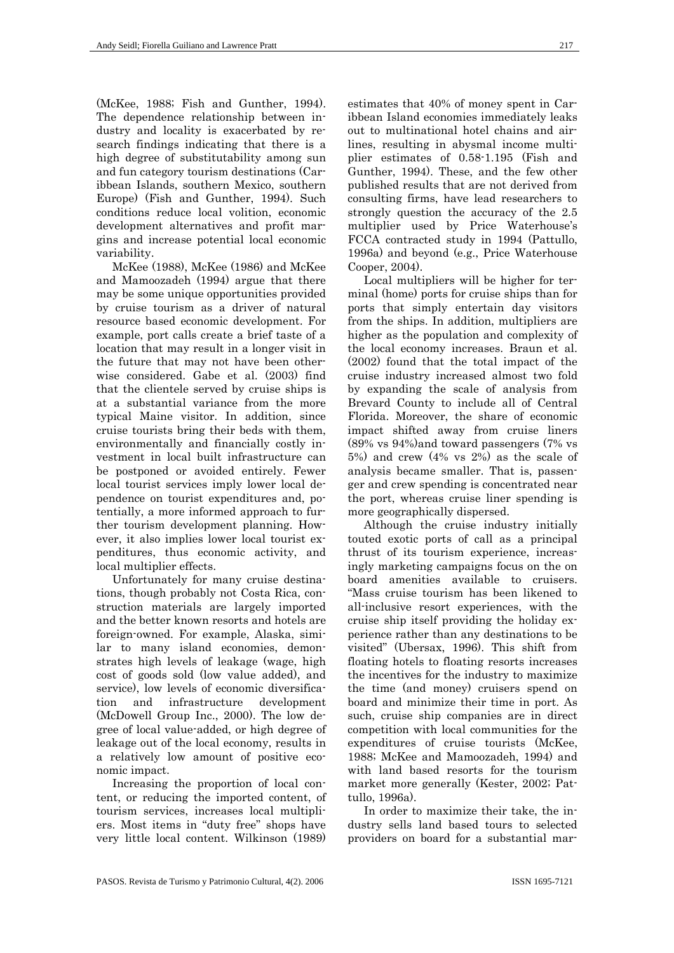(McKee, 1988; Fish and Gunther, 1994). The dependence relationship between industry and locality is exacerbated by research findings indicating that there is a high degree of substitutability among sun and fun category tourism destinations (Caribbean Islands, southern Mexico, southern Europe) (Fish and Gunther, 1994). Such conditions reduce local volition, economic development alternatives and profit margins and increase potential local economic variability.

McKee (1988), McKee (1986) and McKee and Mamoozadeh (1994) argue that there may be some unique opportunities provided by cruise tourism as a driver of natural resource based economic development. For example, port calls create a brief taste of a location that may result in a longer visit in the future that may not have been otherwise considered. Gabe et al. (2003) find that the clientele served by cruise ships is at a substantial variance from the more typical Maine visitor. In addition, since cruise tourists bring their beds with them, environmentally and financially costly investment in local built infrastructure can be postponed or avoided entirely. Fewer local tourist services imply lower local dependence on tourist expenditures and, potentially, a more informed approach to further tourism development planning. However, it also implies lower local tourist expenditures, thus economic activity, and local multiplier effects.

Unfortunately for many cruise destinations, though probably not Costa Rica, construction materials are largely imported and the better known resorts and hotels are foreign-owned. For example, Alaska, similar to many island economies, demonstrates high levels of leakage (wage, high cost of goods sold (low value added), and service), low levels of economic diversification and infrastructure development (McDowell Group Inc., 2000). The low degree of local value-added, or high degree of leakage out of the local economy, results in a relatively low amount of positive economic impact.

Increasing the proportion of local content, or reducing the imported content, of tourism services, increases local multipliers. Most items in "duty free" shops have very little local content. Wilkinson (1989)

estimates that 40% of money spent in Caribbean Island economies immediately leaks out to multinational hotel chains and airlines, resulting in abysmal income multiplier estimates of 0.58-1.195 (Fish and Gunther, 1994). These, and the few other published results that are not derived from consulting firms, have lead researchers to strongly question the accuracy of the 2.5 multiplier used by Price Waterhouse's FCCA contracted study in 1994 (Pattullo, 1996a) and beyond (e.g., Price Waterhouse Cooper, 2004).

Local multipliers will be higher for terminal (home) ports for cruise ships than for ports that simply entertain day visitors from the ships. In addition, multipliers are higher as the population and complexity of the local economy increases. Braun et al. (2002) found that the total impact of the cruise industry increased almost two fold by expanding the scale of analysis from Brevard County to include all of Central Florida. Moreover, the share of economic impact shifted away from cruise liners (89% vs 94%)and toward passengers (7% vs 5%) and crew (4% vs 2%) as the scale of analysis became smaller. That is, passenger and crew spending is concentrated near the port, whereas cruise liner spending is more geographically dispersed.

Although the cruise industry initially touted exotic ports of call as a principal thrust of its tourism experience, increasingly marketing campaigns focus on the on board amenities available to cruisers. "Mass cruise tourism has been likened to all-inclusive resort experiences, with the cruise ship itself providing the holiday experience rather than any destinations to be visited" (Ubersax, 1996). This shift from floating hotels to floating resorts increases the incentives for the industry to maximize the time (and money) cruisers spend on board and minimize their time in port. As such, cruise ship companies are in direct competition with local communities for the expenditures of cruise tourists (McKee, 1988; McKee and Mamoozadeh, 1994) and with land based resorts for the tourism market more generally (Kester, 2002; Pattullo, 1996a).

In order to maximize their take, the industry sells land based tours to selected providers on board for a substantial mar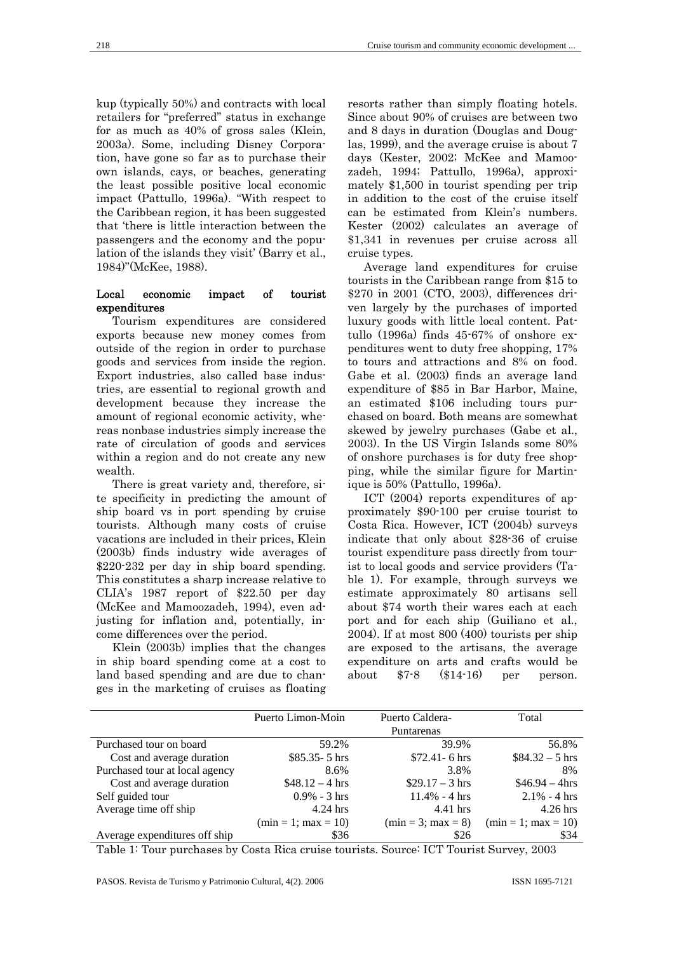kup (typically 50%) and contracts with local retailers for "preferred" status in exchange for as much as 40% of gross sales (Klein, 2003a). Some, including Disney Corporation, have gone so far as to purchase their own islands, cays, or beaches, generating the least possible positive local economic impact (Pattullo, 1996a). "With respect to the Caribbean region, it has been suggested that 'there is little interaction between the passengers and the economy and the population of the islands they visit' (Barry et al., 1984)"(McKee, 1988).

## Local economic impact of tourist expenditures

Tourism expenditures are considered exports because new money comes from outside of the region in order to purchase goods and services from inside the region. Export industries, also called base industries, are essential to regional growth and development because they increase the amount of regional economic activity, whereas nonbase industries simply increase the rate of circulation of goods and services within a region and do not create any new wealth.

There is great variety and, therefore, site specificity in predicting the amount of ship board vs in port spending by cruise tourists. Although many costs of cruise vacations are included in their prices, Klein (2003b) finds industry wide averages of \$220-232 per day in ship board spending. This constitutes a sharp increase relative to CLIA's 1987 report of \$22.50 per day (McKee and Mamoozadeh, 1994), even adjusting for inflation and, potentially, income differences over the period.

Klein (2003b) implies that the changes in ship board spending come at a cost to land based spending and are due to changes in the marketing of cruises as floating

resorts rather than simply floating hotels. Since about 90% of cruises are between two and 8 days in duration (Douglas and Douglas, 1999), and the average cruise is about 7 days (Kester, 2002; McKee and Mamoozadeh, 1994; Pattullo, 1996a), approximately \$1,500 in tourist spending per trip in addition to the cost of the cruise itself can be estimated from Klein's numbers. Kester (2002) calculates an average of \$1,341 in revenues per cruise across all cruise types.

Average land expenditures for cruise tourists in the Caribbean range from \$15 to \$270 in 2001 (CTO, 2003), differences driven largely by the purchases of imported luxury goods with little local content. Pattullo (1996a) finds 45-67% of onshore expenditures went to duty free shopping, 17% to tours and attractions and 8% on food. Gabe et al. (2003) finds an average land expenditure of \$85 in Bar Harbor, Maine, an estimated \$106 including tours purchased on board. Both means are somewhat skewed by jewelry purchases (Gabe et al., 2003). In the US Virgin Islands some 80% of onshore purchases is for duty free shopping, while the similar figure for Martinique is 50% (Pattullo, 1996a).

ICT (2004) reports expenditures of approximately \$90-100 per cruise tourist to Costa Rica. However, ICT (2004b) surveys indicate that only about \$28-36 of cruise tourist expenditure pass directly from tourist to local goods and service providers (Table 1). For example, through surveys we estimate approximately 80 artisans sell about \$74 worth their wares each at each port and for each ship (Guiliano et al., 2004). If at most 800 (400) tourists per ship are exposed to the artisans, the average expenditure on arts and crafts would be about \$7-8 (\$14-16) per person.

|                                | Puerto Limon-Moin     | Puerto Caldera-      | Total                 |
|--------------------------------|-----------------------|----------------------|-----------------------|
|                                |                       | Puntarenas           |                       |
| Purchased tour on board        | 59.2%                 | 39.9%                | 56.8%                 |
| Cost and average duration      | $$85.35 - 5$ hrs      | $$72.41 - 6 hrs$     | $\$84.32 - 5$ hrs     |
| Purchased tour at local agency | 8.6%                  | 3.8%                 | 8%                    |
| Cost and average duration      | $$48.12 - 4 hrs$      | $$29.17 - 3 hrs$     | $$46.94 - 4hrs$       |
| Self guided tour               | $0.9\% - 3$ hrs       | $11.4\% - 4 hrs$     | $2.1\% - 4 hrs$       |
| Average time off ship          | $4.24$ hrs            | $4.41$ hrs           | $4.26$ hrs            |
|                                | $(min = 1; max = 10)$ | $(min = 3; max = 8)$ | $(min = 1; max = 10)$ |
| Average expenditures off ship  | \$36                  | \$26                 | \$34                  |

Table 1: Tour purchases by Costa Rica cruise tourists. Source: ICT Tourist Survey, 2003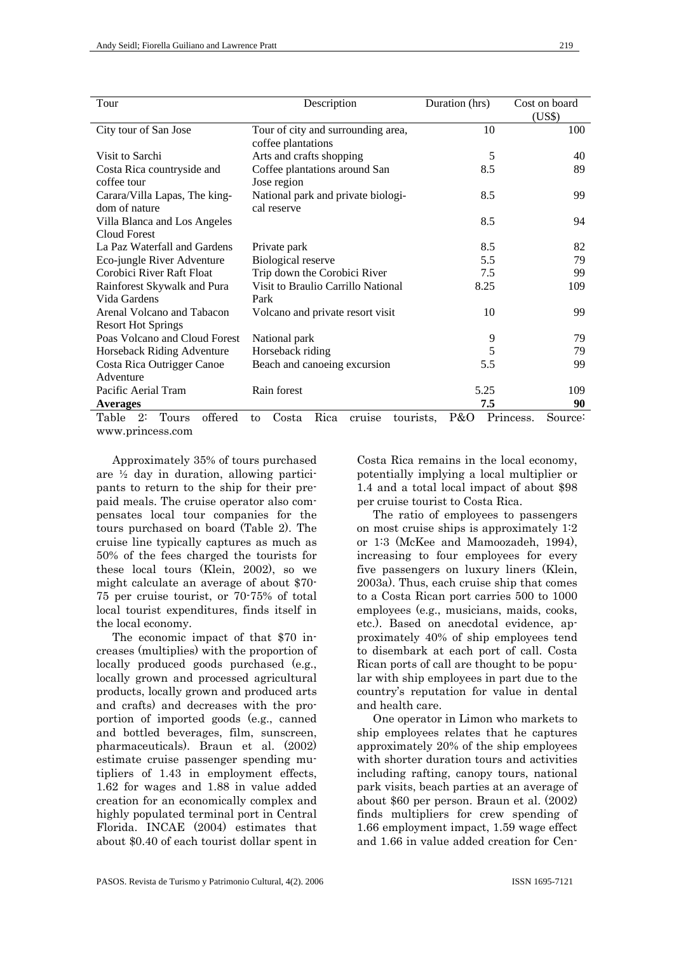| Tour                            | Description                                | Duration (hrs)   | Cost on board |
|---------------------------------|--------------------------------------------|------------------|---------------|
|                                 |                                            |                  | (US\$)        |
| City tour of San Jose           | Tour of city and surrounding area,         | 10               | 100           |
|                                 | coffee plantations                         |                  |               |
| Visit to Sarchi                 | Arts and crafts shopping                   | 5                | 40            |
| Costa Rica countryside and      | Coffee plantations around San              | 8.5              | 89            |
| coffee tour                     | Jose region                                |                  |               |
| Carara/Villa Lapas, The king-   | National park and private biologi-         | 8.5              | 99            |
| dom of nature                   | cal reserve                                |                  |               |
| Villa Blanca and Los Angeles    |                                            | 8.5              | 94            |
| Cloud Forest                    |                                            |                  |               |
| La Paz Waterfall and Gardens    | Private park                               | 8.5              | 82            |
| Eco-jungle River Adventure      | Biological reserve                         | 5.5              | 79            |
| Corobici River Raft Float       | Trip down the Corobici River               | 7.5              | 99            |
| Rainforest Skywalk and Pura     | Visit to Braulio Carrillo National         | 8.25             | 109           |
| Vida Gardens                    | Park                                       |                  |               |
| Arenal Volcano and Tabacon      | Volcano and private resort visit           | 10               | 99            |
| <b>Resort Hot Springs</b>       |                                            |                  |               |
| Poas Volcano and Cloud Forest   | National park                              | 9                | 79            |
| Horseback Riding Adventure      | Horseback riding                           | 5                | 79            |
| Costa Rica Outrigger Canoe      | Beach and canoeing excursion               | 5.5              | 99            |
| Adventure                       |                                            |                  |               |
| Pacific Aerial Tram             | Rain forest                                | 5.25             | 109           |
| <b>Averages</b>                 |                                            | 7.5              | 90            |
| offered<br>Tours<br>Table<br>2: | cruise<br>Rica<br>tourists,<br>Costa<br>to | P&O<br>Princess. | Source:       |

www.princess.com

Approximately 35% of tours purchased are ½ day in duration, allowing participants to return to the ship for their prepaid meals. The cruise operator also compensates local tour companies for the tours purchased on board (Table 2). The cruise line typically captures as much as 50% of the fees charged the tourists for these local tours (Klein, 2002), so we might calculate an average of about \$70- 75 per cruise tourist, or 70-75% of total local tourist expenditures, finds itself in the local economy.

The economic impact of that \$70 increases (multiplies) with the proportion of locally produced goods purchased (e.g., locally grown and processed agricultural products, locally grown and produced arts and crafts) and decreases with the proportion of imported goods (e.g., canned and bottled beverages, film, sunscreen, pharmaceuticals). Braun et al. (2002) estimate cruise passenger spending mutipliers of 1.43 in employment effects, 1.62 for wages and 1.88 in value added creation for an economically complex and highly populated terminal port in Central Florida. INCAE (2004) estimates that about \$0.40 of each tourist dollar spent in

Costa Rica remains in the local economy, potentially implying a local multiplier or 1.4 and a total local impact of about \$98 per cruise tourist to Costa Rica.

The ratio of employees to passengers on most cruise ships is approximately 1:2 or 1:3 (McKee and Mamoozadeh, 1994), increasing to four employees for every five passengers on luxury liners (Klein, 2003a). Thus, each cruise ship that comes to a Costa Rican port carries 500 to 1000 employees (e.g., musicians, maids, cooks, etc.). Based on anecdotal evidence, approximately 40% of ship employees tend to disembark at each port of call. Costa Rican ports of call are thought to be popular with ship employees in part due to the country's reputation for value in dental and health care.

One operator in Limon who markets to ship employees relates that he captures approximately 20% of the ship employees with shorter duration tours and activities including rafting, canopy tours, national park visits, beach parties at an average of about \$60 per person. Braun et al. (2002) finds multipliers for crew spending of 1.66 employment impact, 1.59 wage effect and 1.66 in value added creation for Cen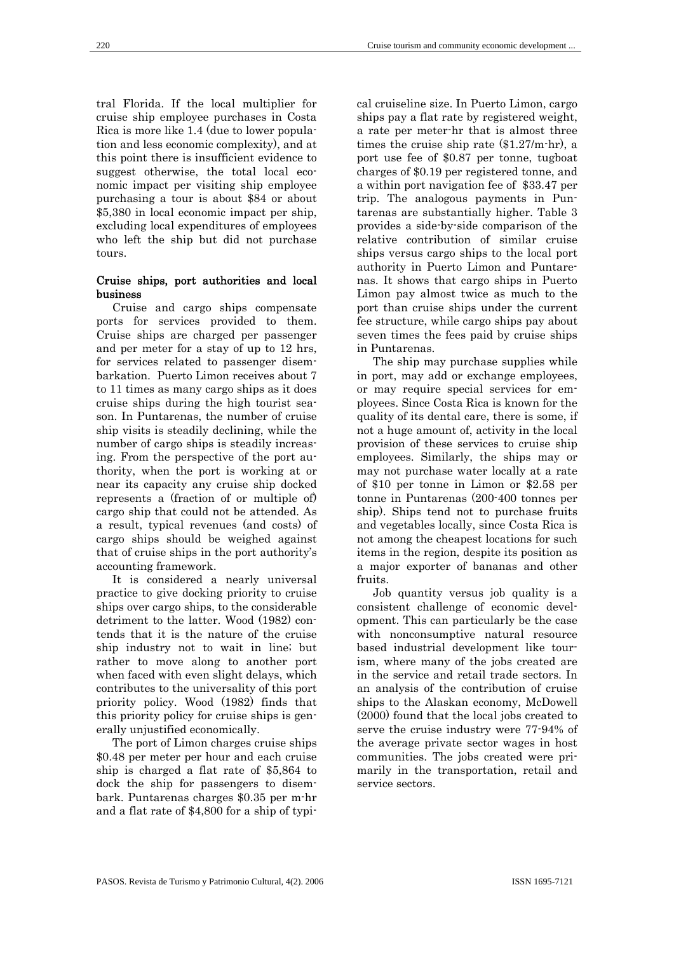tral Florida. If the local multiplier for cruise ship employee purchases in Costa Rica is more like 1.4 (due to lower population and less economic complexity), and at this point there is insufficient evidence to suggest otherwise, the total local economic impact per visiting ship employee purchasing a tour is about \$84 or about \$5,380 in local economic impact per ship, excluding local expenditures of employees who left the ship but did not purchase tours.

## Cruise ships, port authorities and local business

Cruise and cargo ships compensate ports for services provided to them. Cruise ships are charged per passenger and per meter for a stay of up to 12 hrs, for services related to passenger disembarkation. Puerto Limon receives about 7 to 11 times as many cargo ships as it does cruise ships during the high tourist season. In Puntarenas, the number of cruise ship visits is steadily declining, while the number of cargo ships is steadily increasing. From the perspective of the port authority, when the port is working at or near its capacity any cruise ship docked represents a (fraction of or multiple of) cargo ship that could not be attended. As a result, typical revenues (and costs) of cargo ships should be weighed against that of cruise ships in the port authority's accounting framework.

It is considered a nearly universal practice to give docking priority to cruise ships over cargo ships, to the considerable detriment to the latter. Wood (1982) contends that it is the nature of the cruise ship industry not to wait in line; but rather to move along to another port when faced with even slight delays, which contributes to the universality of this port priority policy. Wood (1982) finds that this priority policy for cruise ships is generally unjustified economically.

The port of Limon charges cruise ships \$0.48 per meter per hour and each cruise ship is charged a flat rate of \$5,864 to dock the ship for passengers to disembark. Puntarenas charges \$0.35 per m-hr and a flat rate of \$4,800 for a ship of typical cruiseline size. In Puerto Limon, cargo ships pay a flat rate by registered weight, a rate per meter-hr that is almost three times the cruise ship rate (\$1.27/m-hr), a port use fee of \$0.87 per tonne, tugboat charges of \$0.19 per registered tonne, and a within port navigation fee of \$33.47 per trip. The analogous payments in Puntarenas are substantially higher. Table 3 provides a side-by-side comparison of the relative contribution of similar cruise ships versus cargo ships to the local port authority in Puerto Limon and Puntarenas. It shows that cargo ships in Puerto Limon pay almost twice as much to the port than cruise ships under the current fee structure, while cargo ships pay about seven times the fees paid by cruise ships in Puntarenas.

The ship may purchase supplies while in port, may add or exchange employees, or may require special services for employees. Since Costa Rica is known for the quality of its dental care, there is some, if not a huge amount of, activity in the local provision of these services to cruise ship employees. Similarly, the ships may or may not purchase water locally at a rate of \$10 per tonne in Limon or \$2.58 per tonne in Puntarenas (200-400 tonnes per ship). Ships tend not to purchase fruits and vegetables locally, since Costa Rica is not among the cheapest locations for such items in the region, despite its position as a major exporter of bananas and other fruits.

Job quantity versus job quality is a consistent challenge of economic development. This can particularly be the case with nonconsumptive natural resource based industrial development like tourism, where many of the jobs created are in the service and retail trade sectors. In an analysis of the contribution of cruise ships to the Alaskan economy, McDowell (2000) found that the local jobs created to serve the cruise industry were 77-94% of the average private sector wages in host communities. The jobs created were primarily in the transportation, retail and service sectors.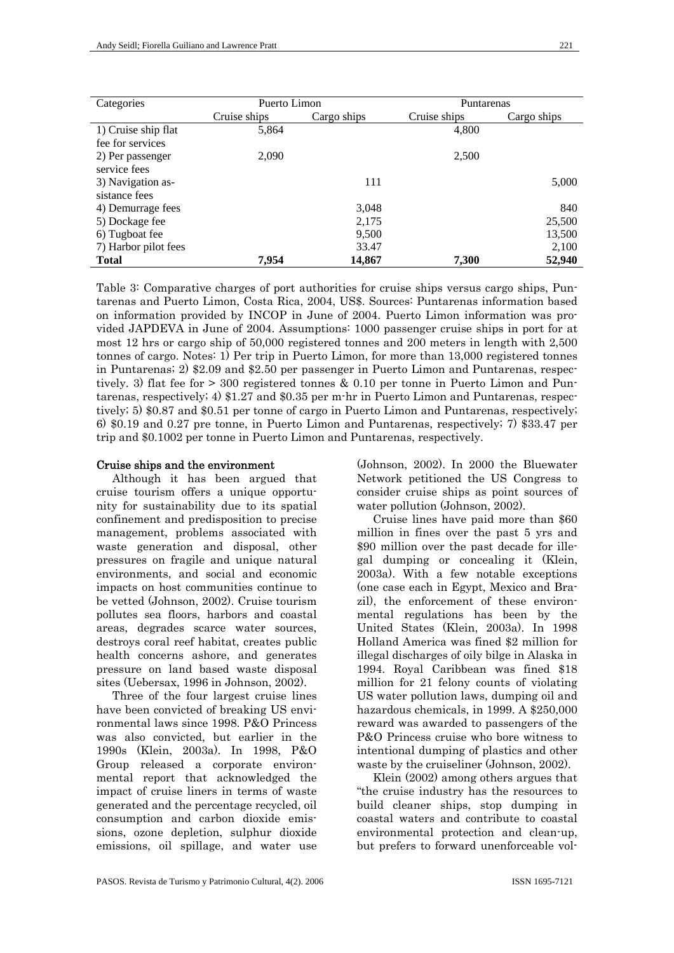| Categories           | Puerto Limon |             | <b>Puntarenas</b> |             |
|----------------------|--------------|-------------|-------------------|-------------|
|                      | Cruise ships | Cargo ships | Cruise ships      | Cargo ships |
| 1) Cruise ship flat  | 5,864        |             | 4,800             |             |
| fee for services     |              |             |                   |             |
| 2) Per passenger     | 2,090        |             | 2,500             |             |
| service fees         |              |             |                   |             |
| 3) Navigation as-    |              | 111         |                   | 5,000       |
| sistance fees        |              |             |                   |             |
| 4) Demurrage fees    |              | 3,048       |                   | 840         |
| 5) Dockage fee       |              | 2,175       |                   | 25,500      |
| 6) Tugboat fee       |              | 9,500       |                   | 13,500      |
| 7) Harbor pilot fees |              | 33.47       |                   | 2,100       |
| <b>Total</b>         | 7,954        | 14,867      | 7,300             | 52,940      |

Table 3: Comparative charges of port authorities for cruise ships versus cargo ships, Puntarenas and Puerto Limon, Costa Rica, 2004, US\$. Sources: Puntarenas information based on information provided by INCOP in June of 2004. Puerto Limon information was provided JAPDEVA in June of 2004. Assumptions: 1000 passenger cruise ships in port for at most 12 hrs or cargo ship of 50,000 registered tonnes and 200 meters in length with 2,500 tonnes of cargo. Notes: 1) Per trip in Puerto Limon, for more than 13,000 registered tonnes in Puntarenas; 2) \$2.09 and \$2.50 per passenger in Puerto Limon and Puntarenas, respectively. 3) flat fee for > 300 registered tonnes & 0.10 per tonne in Puerto Limon and Puntarenas, respectively; 4) \$1.27 and \$0.35 per m-hr in Puerto Limon and Puntarenas, respectively; 5) \$0.87 and \$0.51 per tonne of cargo in Puerto Limon and Puntarenas, respectively; 6) \$0.19 and 0.27 pre tonne, in Puerto Limon and Puntarenas, respectively; 7) \$33.47 per trip and \$0.1002 per tonne in Puerto Limon and Puntarenas, respectively.

## Cruise ships and the environment

Although it has been argued that cruise tourism offers a unique opportunity for sustainability due to its spatial confinement and predisposition to precise management, problems associated with waste generation and disposal, other pressures on fragile and unique natural environments, and social and economic impacts on host communities continue to be vetted (Johnson, 2002). Cruise tourism pollutes sea floors, harbors and coastal areas, degrades scarce water sources, destroys coral reef habitat, creates public health concerns ashore, and generates pressure on land based waste disposal sites (Uebersax, 1996 in Johnson, 2002).

Three of the four largest cruise lines have been convicted of breaking US environmental laws since 1998. P&O Princess was also convicted, but earlier in the 1990s (Klein, 2003a). In 1998, P&O Group released a corporate environmental report that acknowledged the impact of cruise liners in terms of waste generated and the percentage recycled, oil consumption and carbon dioxide emissions, ozone depletion, sulphur dioxide emissions, oil spillage, and water use (Johnson, 2002). In 2000 the Bluewater Network petitioned the US Congress to consider cruise ships as point sources of water pollution (Johnson, 2002).

Cruise lines have paid more than \$60 million in fines over the past 5 yrs and \$90 million over the past decade for illegal dumping or concealing it (Klein, 2003a). With a few notable exceptions (one case each in Egypt, Mexico and Brazil), the enforcement of these environmental regulations has been by the United States (Klein, 2003a). In 1998 Holland America was fined \$2 million for illegal discharges of oily bilge in Alaska in 1994. Royal Caribbean was fined \$18 million for 21 felony counts of violating US water pollution laws, dumping oil and hazardous chemicals, in 1999. A \$250,000 reward was awarded to passengers of the P&O Princess cruise who bore witness to intentional dumping of plastics and other waste by the cruiseliner (Johnson, 2002).

Klein (2002) among others argues that "the cruise industry has the resources to build cleaner ships, stop dumping in coastal waters and contribute to coastal environmental protection and clean-up, but prefers to forward unenforceable vol-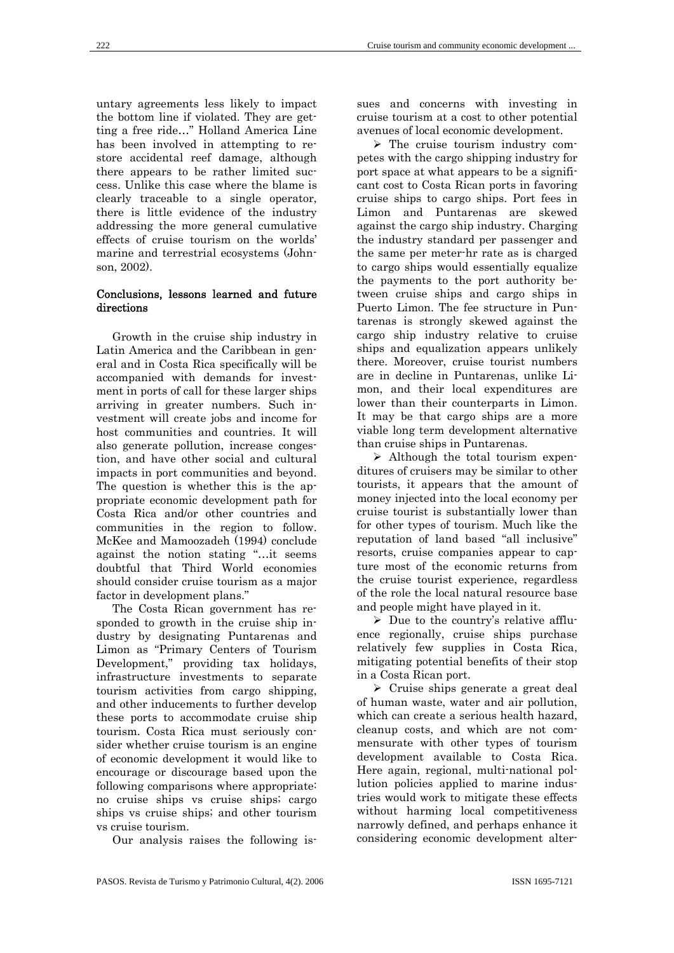untary agreements less likely to impact the bottom line if violated. They are getting a free ride…" Holland America Line has been involved in attempting to restore accidental reef damage, although there appears to be rather limited success. Unlike this case where the blame is clearly traceable to a single operator, there is little evidence of the industry addressing the more general cumulative effects of cruise tourism on the worlds' marine and terrestrial ecosystems (Johnson, 2002).

## Conclusions, lessons learned and future directions

Growth in the cruise ship industry in Latin America and the Caribbean in general and in Costa Rica specifically will be accompanied with demands for investment in ports of call for these larger ships arriving in greater numbers. Such investment will create jobs and income for host communities and countries. It will also generate pollution, increase congestion, and have other social and cultural impacts in port communities and beyond. The question is whether this is the appropriate economic development path for Costa Rica and/or other countries and communities in the region to follow. McKee and Mamoozadeh (1994) conclude against the notion stating "…it seems doubtful that Third World economies should consider cruise tourism as a major factor in development plans."

The Costa Rican government has responded to growth in the cruise ship industry by designating Puntarenas and Limon as "Primary Centers of Tourism Development," providing tax holidays, infrastructure investments to separate tourism activities from cargo shipping, and other inducements to further develop these ports to accommodate cruise ship tourism. Costa Rica must seriously consider whether cruise tourism is an engine of economic development it would like to encourage or discourage based upon the following comparisons where appropriate: no cruise ships vs cruise ships; cargo ships vs cruise ships; and other tourism vs cruise tourism.

Our analysis raises the following is-

sues and concerns with investing in cruise tourism at a cost to other potential avenues of local economic development.

 $\triangleright$  The cruise tourism industry competes with the cargo shipping industry for port space at what appears to be a significant cost to Costa Rican ports in favoring cruise ships to cargo ships. Port fees in Limon and Puntarenas are skewed against the cargo ship industry. Charging the industry standard per passenger and the same per meter-hr rate as is charged to cargo ships would essentially equalize the payments to the port authority between cruise ships and cargo ships in Puerto Limon. The fee structure in Puntarenas is strongly skewed against the cargo ship industry relative to cruise ships and equalization appears unlikely there. Moreover, cruise tourist numbers are in decline in Puntarenas, unlike Limon, and their local expenditures are lower than their counterparts in Limon. It may be that cargo ships are a more viable long term development alternative than cruise ships in Puntarenas.

 $\triangleright$  Although the total tourism expenditures of cruisers may be similar to other tourists, it appears that the amount of money injected into the local economy per cruise tourist is substantially lower than for other types of tourism. Much like the reputation of land based "all inclusive" resorts, cruise companies appear to capture most of the economic returns from the cruise tourist experience, regardless of the role the local natural resource base and people might have played in it.

 $\triangleright$  Due to the country's relative affluence regionally, cruise ships purchase relatively few supplies in Costa Rica, mitigating potential benefits of their stop in a Costa Rican port.

 $\triangleright$  Cruise ships generate a great deal of human waste, water and air pollution, which can create a serious health hazard, cleanup costs, and which are not commensurate with other types of tourism development available to Costa Rica. Here again, regional, multi-national pollution policies applied to marine industries would work to mitigate these effects without harming local competitiveness narrowly defined, and perhaps enhance it considering economic development alter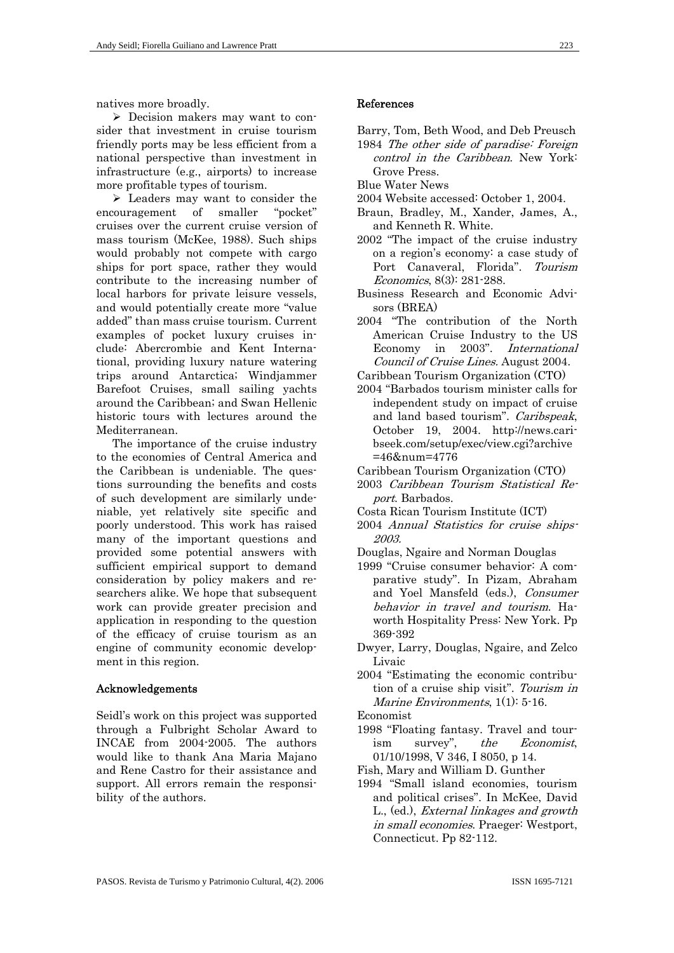natives more broadly.

 $\triangleright$  Decision makers may want to consider that investment in cruise tourism friendly ports may be less efficient from a national perspective than investment in infrastructure (e.g., airports) to increase more profitable types of tourism.

 $\triangleright$  Leaders may want to consider the encouragement of smaller "pocket" cruises over the current cruise version of mass tourism (McKee, 1988). Such ships would probably not compete with cargo ships for port space, rather they would contribute to the increasing number of local harbors for private leisure vessels, and would potentially create more "value added" than mass cruise tourism. Current examples of pocket luxury cruises include: Abercrombie and Kent International, providing luxury nature watering trips around Antarctica; Windjammer Barefoot Cruises, small sailing yachts around the Caribbean; and Swan Hellenic historic tours with lectures around the Mediterranean.

The importance of the cruise industry to the economies of Central America and the Caribbean is undeniable. The questions surrounding the benefits and costs of such development are similarly undeniable, yet relatively site specific and poorly understood. This work has raised many of the important questions and provided some potential answers with sufficient empirical support to demand consideration by policy makers and researchers alike. We hope that subsequent work can provide greater precision and application in responding to the question of the efficacy of cruise tourism as an engine of community economic development in this region.

## Acknowledgements

Seidl's work on this project was supported through a Fulbright Scholar Award to INCAE from 2004-2005. The authors would like to thank Ana Maria Majano and Rene Castro for their assistance and support. All errors remain the responsibility of the authors.

## References

- Barry, Tom, Beth Wood, and Deb Preusch 1984 The other side of paradise: Foreign control in the Caribbean. New York:
- Grove Press. Blue Water News
- 2004 Website accessed: October 1, 2004.
- Braun, Bradley, M., Xander, James, A., and Kenneth R. White.
- 2002 "The impact of the cruise industry on a region's economy: a case study of Port Canaveral, Florida". Tourism Economics, 8(3): 281-288.
- Business Research and Economic Advisors (BREA)
- 2004 "The contribution of the North American Cruise Industry to the US Economy in 2003". International Council of Cruise Lines. August 2004.
- Caribbean Tourism Organization (CTO)
- 2004 "Barbados tourism minister calls for independent study on impact of cruise and land based tourism". Caribspeak, October 19, 2004. http://news.caribseek.com/setup/exec/view.cgi?archive =46&num=4776
- Caribbean Tourism Organization (CTO)
- 2003 Caribbean Tourism Statistical Report. Barbados.
- Costa Rican Tourism Institute (ICT)
- 2004 Annual Statistics for cruise ships-2003.
- Douglas, Ngaire and Norman Douglas
- 1999 "Cruise consumer behavior: A comparative study". In Pizam, Abraham and Yoel Mansfeld (eds.), Consumer behavior in travel and tourism. Haworth Hospitality Press: New York. Pp 369-392
- Dwyer, Larry, Douglas, Ngaire, and Zelco Livaic
- 2004 "Estimating the economic contribution of a cruise ship visit". Tourism in Marine Environments, 1(1): 5-16.
- Economist
- 1998 "Floating fantasy. Travel and tourism survey", the Economist, 01/10/1998, V 346, I 8050, p 14.
- Fish, Mary and William D. Gunther
- 1994 "Small island economies, tourism and political crises". In McKee, David L., (ed.), External linkages and growth in small economies. Praeger: Westport, Connecticut. Pp 82-112.